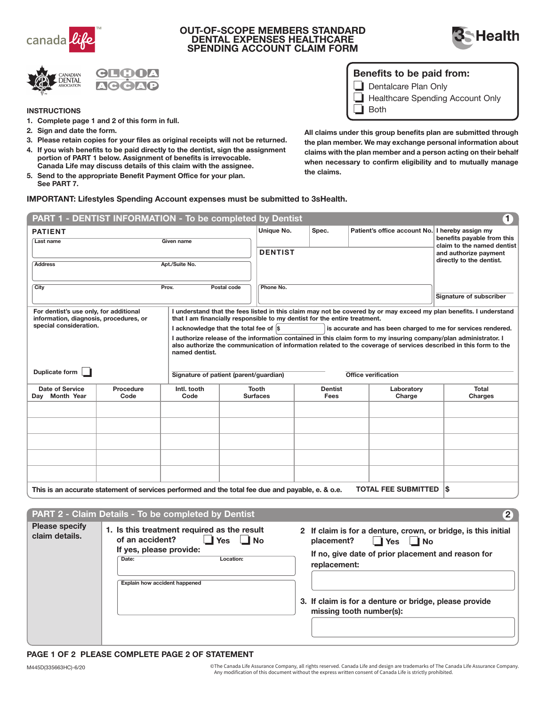

### OUT-OF-SCOPE MEMBERS STANDARD DENTAL EXPENSES HEALTHCARE SPENDING ACCOUNT CLAIM FORM





## Benefits to be paid from:

Dentalcare Plan Only o

Healthcare Spending Account Only

o Both

- **INSTRUCTIONS**
- 1. Complete page 1 and 2 of this form in full.
- 2. Sign and date the form.
- 3. Please retain copies for your files as original receipts will not be returned.
- 4. If you wish benefits to be paid directly to the dentist, sign the assignment portion of PART 1 below. Assignment of benefits is irrevocable. Canada Life may discuss details of this claim with the assignee.
- 5. Send to the appropriate Benefit Payment Office for your plan. See PART 7.

All claims under this group benefits plan are submitted through the plan member. We may exchange personal information about claims with the plan member and a person acting on their behalf when necessary to confirm eligibility and to mutually manage the claims.

#### IMPORTANT: Lifestyles Spending Account expenses must be submitted to 3sHealth.

|                                                                                                                              | PART 1 - DENTIST INFORMATION - To be completed by Dentist                                        |                                                                                                                                                                                                                                                         |                                                                                                         |                                 |                               |                                                     | $\mathbf{1}$               |
|------------------------------------------------------------------------------------------------------------------------------|--------------------------------------------------------------------------------------------------|---------------------------------------------------------------------------------------------------------------------------------------------------------------------------------------------------------------------------------------------------------|---------------------------------------------------------------------------------------------------------|---------------------------------|-------------------------------|-----------------------------------------------------|----------------------------|
| <b>PATIENT</b><br>Last name                                                                                                  |                                                                                                  | Given name                                                                                                                                                                                                                                              |                                                                                                         | Unique No.                      | Spec.                         | Patient's office account No. I hereby assign my     | benefits payable from this |
|                                                                                                                              |                                                                                                  |                                                                                                                                                                                                                                                         | <b>DENTIST</b>                                                                                          |                                 |                               | claim to the named dentist<br>and authorize payment |                            |
| <b>Address</b>                                                                                                               | Apt./Suite No.                                                                                   |                                                                                                                                                                                                                                                         |                                                                                                         |                                 |                               | directly to the dentist.                            |                            |
| City                                                                                                                         |                                                                                                  | Prov.                                                                                                                                                                                                                                                   | Postal code                                                                                             | Phone No.                       |                               |                                                     | Signature of subscriber    |
|                                                                                                                              |                                                                                                  |                                                                                                                                                                                                                                                         |                                                                                                         |                                 |                               |                                                     |                            |
| For dentist's use only, for additional<br>information, diagnosis, procedures, or<br>special consideration.<br>Duplicate form |                                                                                                  | I understand that the fees listed in this claim may not be covered by or may exceed my plan benefits. I understand<br>that I am financially responsible to my dentist for the entire treatment.                                                         |                                                                                                         |                                 |                               |                                                     |                            |
|                                                                                                                              |                                                                                                  |                                                                                                                                                                                                                                                         | I acknowledge that the total fee of \$<br>is accurate and has been charged to me for services rendered. |                                 |                               |                                                     |                            |
|                                                                                                                              |                                                                                                  | I authorize release of the information contained in this claim form to my insuring company/plan administrator. I<br>also authorize the communication of information related to the coverage of services described in this form to the<br>named dentist. |                                                                                                         |                                 |                               |                                                     |                            |
|                                                                                                                              |                                                                                                  | Signature of patient (parent/guardian)                                                                                                                                                                                                                  |                                                                                                         | Office verification             |                               |                                                     |                            |
| Date of Service<br>Day Month Year                                                                                            | Procedure<br>Code                                                                                | Intl. tooth<br>Code                                                                                                                                                                                                                                     |                                                                                                         | <b>Tooth</b><br><b>Surfaces</b> | <b>Dentist</b><br><b>Fees</b> | Laboratory<br>Charge                                | <b>Total</b><br>Charges    |
|                                                                                                                              |                                                                                                  |                                                                                                                                                                                                                                                         |                                                                                                         |                                 |                               |                                                     |                            |
|                                                                                                                              |                                                                                                  |                                                                                                                                                                                                                                                         |                                                                                                         |                                 |                               |                                                     |                            |
|                                                                                                                              |                                                                                                  |                                                                                                                                                                                                                                                         |                                                                                                         |                                 |                               |                                                     |                            |
|                                                                                                                              |                                                                                                  |                                                                                                                                                                                                                                                         |                                                                                                         |                                 |                               |                                                     |                            |
|                                                                                                                              |                                                                                                  |                                                                                                                                                                                                                                                         |                                                                                                         |                                 |                               |                                                     |                            |
|                                                                                                                              | This is an accurate statement of services performed and the total fee due and payable, e. & o.e. |                                                                                                                                                                                                                                                         |                                                                                                         |                                 |                               | <b>TOTAL FEE SUBMITTED</b>                          | <b>S</b>                   |

placement? Pres No If no, give date of prior placement and reason for replacement: 3. If claim is for a denture or bridge, please provide missing tooth number(s): of an accident? **No** Date: Location: Explain how accident happened 2 PART 2 - Claim Details - To be completed by Dentist Please specify claim details. 1. Is this treatment required as the result If yes, please provide: 2 If claim is for a denture, crown, or bridge, is this initial

#### PAGE 1 OF 2 PLEASE COMPLETE PAGE 2 OF STATEMENT

M445D(335663HC)-6/20 © The Canada Life Assurance Company, all rights reserved. Canada Life and design are trademarks of The Canada Life Assurance Company. Any modification of this document without the express written consent of Canada Life is strictly prohibited.